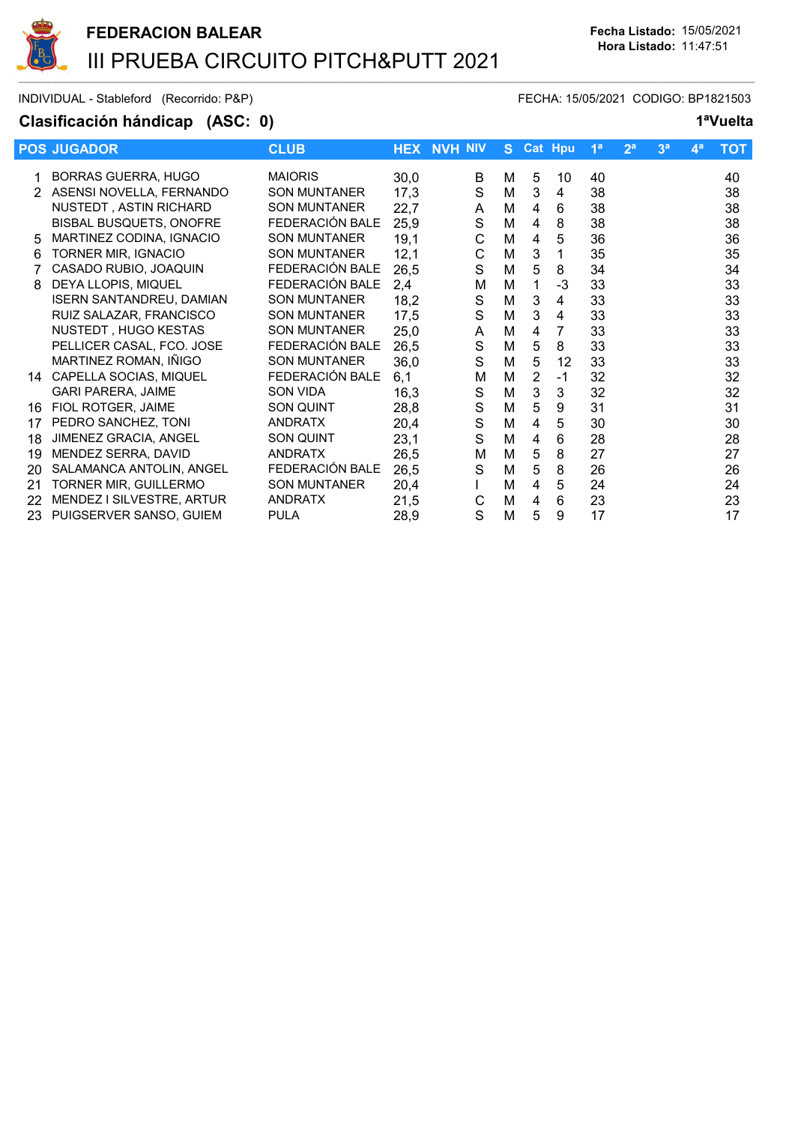

INDIVIDUAL - Stableford (Recorrido: P&P) FECHA: 15/05/2021 CODIGO: BP1821503

## Clasificación hándicap (ASC: 0) 1<sup>a</sup>Vuelta

|    | <b>POS JUGADOR</b>              | <b>CLUB</b>         | <b>HEX</b> | <b>NVH NIV</b> | S. |                | <b>Cat Hpu</b> | 1 <sup>a</sup> | 2 <sup>a</sup> | 3 <sup>a</sup> | 4 <sup>a</sup> | <b>TOT</b> |
|----|---------------------------------|---------------------|------------|----------------|----|----------------|----------------|----------------|----------------|----------------|----------------|------------|
|    | <b>BORRAS GUERRA, HUGO</b>      | <b>MAIORIS</b>      | 30,0       | B              | М  | 5              | 10             | 40             |                |                |                | 40         |
|    | ASENSI NOVELLA, FERNANDO        | <b>SON MUNTANER</b> | 17,3       | $\mathbf S$    | M  | 3              | 4              | 38             |                |                |                | 38         |
|    | <b>NUSTEDT, ASTIN RICHARD</b>   | <b>SON MUNTANER</b> | 22,7       | A              | M  | 4              | 6              | 38             |                |                |                | 38         |
|    | <b>BISBAL BUSQUETS, ONOFRE</b>  | FEDERACIÓN BALE     | 25,9       | $\mathbf S$    | M  | 4              | 8              | 38             |                |                |                | 38         |
| 5  | MARTINEZ CODINA, IGNACIO        | <b>SON MUNTANER</b> | 19,1       | C              | M  | 4              | 5              | 36             |                |                |                | 36         |
| 6  | TORNER MIR, IGNACIO             | <b>SON MUNTANER</b> | 12,1       | C              | M  | 3              | 1              | 35             |                |                |                | 35         |
|    | CASADO RUBIO, JOAQUIN           | FEDERACIÓN BALE     | 26,5       | S              | M  | 5              | 8              | 34             |                |                |                | 34         |
| 8  | DEYA LLOPIS, MIQUEL             | FEDERACIÓN BALE     | 2,4        | М              | M  | 1              | -3             | 33             |                |                |                | 33         |
|    | <b>ISERN SANTANDREU, DAMIAN</b> | <b>SON MUNTANER</b> | 18,2       | $\mathbf S$    | M  | 3              | 4              | 33             |                |                |                | 33         |
|    | RUIZ SALAZAR, FRANCISCO         | <b>SON MUNTANER</b> | 17,5       | $\mathbf S$    | M  | 3              | 4              | 33             |                |                |                | 33         |
|    | NUSTEDT, HUGO KESTAS            | <b>SON MUNTANER</b> | 25,0       | A              | M  | 4              | 7              | 33             |                |                |                | 33         |
|    | PELLICER CASAL, FCO. JOSE       | FEDERACIÓN BALE     | 26,5       | $\mathbf S$    | M  | 5              | 8              | 33             |                |                |                | 33         |
|    | MARTINEZ ROMAN, IÑIGO           | <b>SON MUNTANER</b> | 36,0       | $\mathbf S$    | M  | 5              | 12             | 33             |                |                |                | 33         |
| 14 | CAPELLA SOCIAS, MIQUEL          | FEDERACIÓN BALE     | 6,1        | M              | M  | $\overline{2}$ | $-1$           | 32             |                |                |                | 32         |
|    | <b>GARI PARERA, JAIME</b>       | SON VIDA            | 16,3       | S              | M  | 3              | 3              | 32             |                |                |                | 32         |
| 16 | FIOL ROTGER, JAIME              | SON QUINT           | 28,8       | $\mathsf S$    | M  | 5              | 9              | 31             |                |                |                | 31         |
| 17 | PEDRO SANCHEZ, TONI             | <b>ANDRATX</b>      | 20,4       | $\mathsf S$    | M  | 4              | 5              | 30             |                |                |                | 30         |
| 18 | JIMENEZ GRACIA, ANGEL           | <b>SON QUINT</b>    | 23,1       | S              | M  | 4              | 6              | 28             |                |                |                | 28         |
| 19 | MENDEZ SERRA, DAVID             | <b>ANDRATX</b>      | 26,5       | М              | M  | 5              | 8              | 27             |                |                |                | 27         |
| 20 | SALAMANCA ANTOLIN, ANGEL        | FEDERACIÓN BALE     | 26,5       | S              | M  | 5              | 8              | 26             |                |                |                | 26         |
| 21 | TORNER MIR, GUILLERMO           | <b>SON MUNTANER</b> | 20,4       |                | M  | 4              | 5              | 24             |                |                |                | 24         |
| 22 | MENDEZ I SILVESTRE, ARTUR       | <b>ANDRATX</b>      | 21,5       | С              | M  | 4              | 6              | 23             |                |                |                | 23         |
| 23 | PUIGSERVER SANSO, GUIEM         | <b>PULA</b>         | 28,9       | S              | M  | 5              | 9              | 17             |                |                |                | 17         |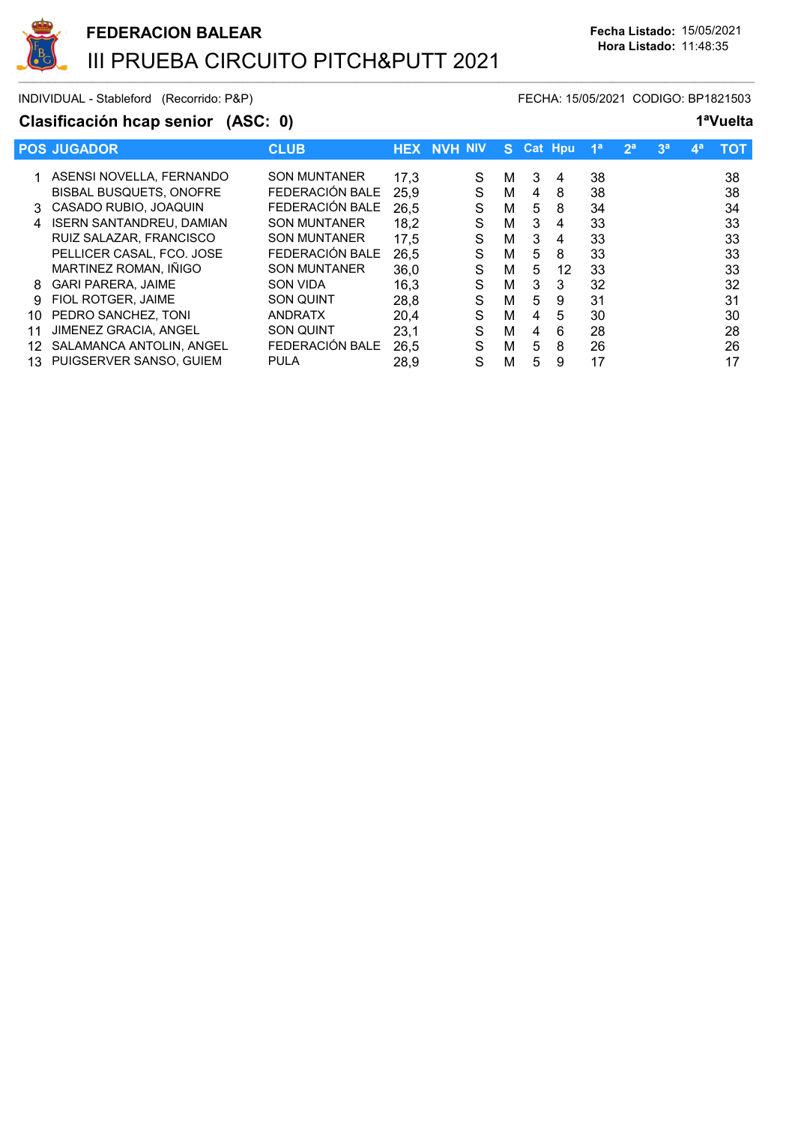

INDIVIDUAL - Stableford (Recorrido: P&P) FECHA: 15/05/2021 CODIGO: BP1821503

## Clasificación hcap senior (ASC: 0) 1<sup>a</sup>Vuelta

|                | <b>POS JUGADOR</b>              | <b>CLUB</b>         | <b>HEX</b> | <b>NVH NIV</b> |   | S. |   | <b>Cat Hpu</b> | 1 <sup>a</sup> | 2 <sup>a</sup> | 3 <sup>a</sup> | $\mathbf{A}^{\mathbf{a}}$ | тот |
|----------------|---------------------------------|---------------------|------------|----------------|---|----|---|----------------|----------------|----------------|----------------|---------------------------|-----|
|                | 1 ASENSI NOVELLA, FERNANDO      | <b>SON MUNTANER</b> | 17,3       |                | S | м  | 3 | 4              | 38             |                |                |                           | 38  |
|                | <b>BISBAL BUSQUETS, ONOFRE</b>  | FEDERACIÓN BALE     | 25,9       |                | S | м  | 4 | 8              | 38             |                |                |                           | 38  |
| 3              | CASADO RUBIO, JOAQUIN           | FEDERACIÓN BALE     | 26,5       |                | S | м  | 5 | 8              | 34             |                |                |                           | 34  |
| $\overline{4}$ | <b>ISERN SANTANDREU, DAMIAN</b> | <b>SON MUNTANER</b> | 18.2       |                | S | м  | 3 | 4              | 33             |                |                |                           | 33  |
|                | RUIZ SALAZAR, FRANCISCO         | <b>SON MUNTANER</b> | 17,5       |                | S | M  | 3 | 4              | 33             |                |                |                           | 33  |
|                | PELLICER CASAL, FCO. JOSE       | FEDERACIÓN BALE     | 26,5       |                | S | м  | 5 | 8              | 33             |                |                |                           | 33  |
|                | MARTINEZ ROMAN, IÑIGO           | <b>SON MUNTANER</b> | 36,0       |                | S | м  | 5 | 12             | 33             |                |                |                           | 33  |
| 8              | <b>GARI PARERA, JAIME</b>       | <b>SON VIDA</b>     | 16,3       |                | S | м  | 3 | 3              | 32             |                |                |                           | 32  |
| 9              | FIOL ROTGER, JAIME              | <b>SON QUINT</b>    | 28,8       |                | S | м  | 5 | 9              | 31             |                |                |                           | 31  |
| 10             | PEDRO SANCHEZ, TONI             | <b>ANDRATX</b>      | 20,4       |                | S | м  | 4 | 5              | 30             |                |                |                           | 30  |
| 11             | JIMENEZ GRACIA, ANGEL           | <b>SON QUINT</b>    | 23,1       |                | S | м  | 4 | 6              | 28             |                |                |                           | 28  |
| 12             | SALAMANCA ANTOLIN, ANGEL        | FEDERACIÓN BALE     | 26,5       |                | S | м  | 5 | 8              | 26             |                |                |                           | 26  |
| 13             | PUIGSERVER SANSO, GUIEM         | <b>PULA</b>         | 28.9       |                | S | M  | 5 | 9              | 17             |                |                |                           | 17  |